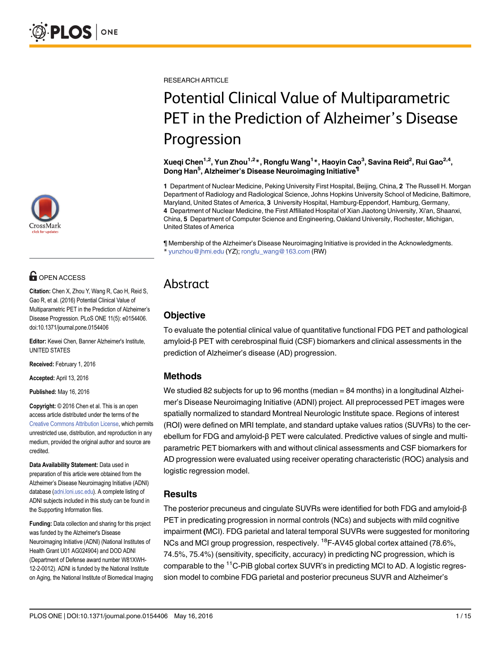

# **G** OPEN ACCESS

Citation: Chen X, Zhou Y, Wang R, Cao H, Reid S, Gao R, et al. (2016) Potential Clinical Value of Multiparametric PET in the Prediction of Alzheimer's Disease Progression. PLoS ONE 11(5): e0154406. doi:10.1371/journal.pone.0154406

Editor: Kewei Chen, Banner Alzheimer's Institute, UNITED STATES

Received: February 1, 2016

Accepted: April 13, 2016

Published: May 16, 2016

Copyright: © 2016 Chen et al. This is an open access article distributed under the terms of the [Creative Commons Attribution License,](http://creativecommons.org/licenses/by/4.0/) which permits unrestricted use, distribution, and reproduction in any medium, provided the original author and source are credited.

Data Availability Statement: Data used in preparation of this article were obtained from the Alzheimer's Disease Neuroimaging Initiative (ADNI) database [\(adni.loni.usc.edu\)](http://adni.loni.usc.edu). A complete listing of ADNI subjects included in this study can be found in the Supporting Information files.

Funding: Data collection and sharing for this project was funded by the Alzheimer's Disease Neuroimaging Initiative (ADNI) (National Institutes of Health Grant U01 AG024904) and DOD ADNI (Department of Defense award number W81XWH-12-2-0012). ADNI is funded by the National Institute on Aging, the National Institute of Biomedical Imaging RESEARCH ARTICLE

# Potential Clinical Value of Multiparametric PET in the Prediction of Alzheimer's Disease Progression

Xueqi Chen<sup>1,2</sup>, Yun Zhou<sup>1,2</sup>\*, Rongfu Wang<sup>1</sup>\*, Haoyin Cao<sup>3</sup>, Savina Reid<sup>2</sup>, Rui Gao<sup>2,4</sup>, Dong Han<sup>5</sup>, Alzheimer's Disease Neuroimaging Initiative<sup>¶</sup>

1 Department of Nuclear Medicine, Peking University First Hospital, Beijing, China, 2 The Russell H. Morgan Department of Radiology and Radiological Science, Johns Hopkins University School of Medicine, Baltimore, Maryland, United States of America, 3 University Hospital, Hamburg-Eppendorf, Hamburg, Germany, 4 Department of Nuclear Medicine, the First Affiliated Hospital of Xian Jiaotong University, Xi'an, Shaanxi, China, 5 Department of Computer Science and Engineering, Oakland University, Rochester, Michigan, United States of America

¶ Membership of the Alzheimer's Disease Neuroimaging Initiative is provided in the Acknowledgments. \* yunzhou@jhmi.edu (YZ); rongfu\_wang@163.com (RW)

## Abstract

## **Objective**

To evaluate the potential clinical value of quantitative functional FDG PET and pathological amyloid-β PET with cerebrospinal fluid (CSF) biomarkers and clinical assessments in the prediction of Alzheimer's disease (AD) progression.

## Methods

We studied 82 subjects for up to 96 months (median = 84 months) in a longitudinal Alzheimer's Disease Neuroimaging Initiative (ADNI) project. All preprocessed PET images were spatially normalized to standard Montreal Neurologic Institute space. Regions of interest (ROI) were defined on MRI template, and standard uptake values ratios (SUVRs) to the cerebellum for FDG and amyloid-β PET were calculated. Predictive values of single and multiparametric PET biomarkers with and without clinical assessments and CSF biomarkers for AD progression were evaluated using receiver operating characteristic (ROC) analysis and logistic regression model.

### Results

The posterior precuneus and cingulate SUVRs were identified for both FDG and amyloid-β PET in predicating progression in normal controls (NCs) and subjects with mild cognitive impairment (MCI). FDG parietal and lateral temporal SUVRs were suggested for monitoring NCs and MCI group progression, respectively. <sup>18</sup>F-AV45 global cortex attained (78.6%, 74.5%, 75.4%) (sensitivity, specificity, accuracy) in predicting NC progression, which is comparable to the <sup>11</sup>C-PiB global cortex SUVR's in predicting MCI to AD. A logistic regression model to combine FDG parietal and posterior precuneus SUVR and Alzheimer's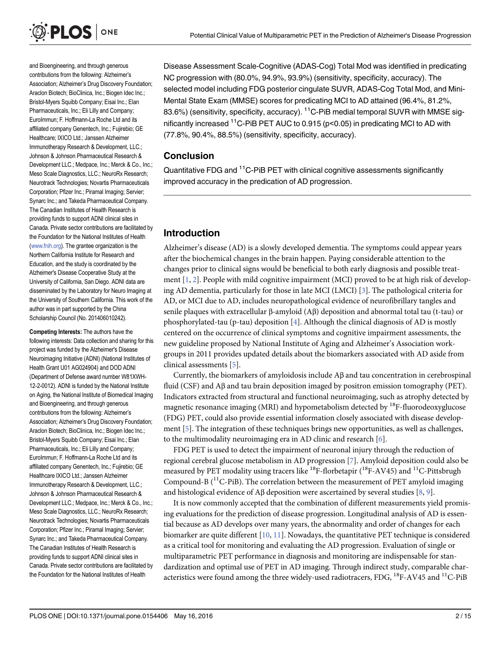<span id="page-1-0"></span>

and Bioengineering, and through generous contributions from the following: Alzheimer's Association; Alzheimer's Drug Discovery Foundation; Araclon Biotech; BioClinica, Inc.; Biogen Idec Inc.; Bristol-Myers Squibb Company; Eisai Inc.; Elan Pharmaceuticals, Inc.; Eli Lilly and Company; EuroImmun; F. Hoffmann-La Roche Ltd and its affiliated company Genentech, Inc.; Fujirebio; GE Healthcare; IXICO Ltd.; Janssen Alzheimer Immunotherapy Research & Development, LLC.; Johnson & Johnson Pharmaceutical Research & Development LLC.; Medpace, Inc.; Merck & Co., Inc.; Meso Scale Diagnostics, LLC.; NeuroRx Research; Neurotrack Technologies; Novartis Pharmaceuticals Corporation; Pfizer Inc.; Piramal Imaging; Servier; Synarc Inc.; and Takeda Pharmaceutical Company. The Canadian Institutes of Health Research is providing funds to support ADNI clinical sites in Canada. Private sector contributions are facilitated by the Foundation for the National Institutes of Health [\(www.fnih.org\)](http://www.fnih.org). The grantee organization is the Northern California Institute for Research and Education, and the study is coordinated by the Alzheimer's Disease Cooperative Study at the University of California, San Diego. ADNI data are disseminated by the Laboratory for Neuro Imaging at the University of Southern California. This work of the author was in part supported by the China Scholarship Council (No. 201406010242).

Competing Interests: The authors have the following interests: Data collection and sharing for this project was funded by the Alzheimer's Disease Neuroimaging Initiative (ADNI) (National Institutes of Health Grant U01 AG024904) and DOD ADNI (Department of Defense award number W81XWH-12-2-0012). ADNI is funded by the National Institute on Aging, the National Institute of Biomedical Imaging and Bioengineering, and through generous contributions from the following: Alzheimer's Association; Alzheimer's Drug Discovery Foundation; Araclon Biotech; BioClinica, Inc.; Biogen Idec Inc.; Bristol-Myers Squibb Company; Eisai Inc.; Elan Pharmaceuticals, Inc.; Eli Lilly and Company; EuroImmun; F. Hoffmann-La Roche Ltd and its affiliated company Genentech, Inc.; Fujirebio; GE Healthcare IXICO Ltd.; Janssen Alzheimer Immunotherapy Research & Development, LLC.; Johnson & Johnson Pharmaceutical Research & Development LLC.; Medpace, Inc.; Merck & Co., Inc.; Meso Scale Diagnostics, LLC.; NeuroRx Research; Neurotrack Technologies; Novartis Pharmaceuticals Corporation; Pfizer Inc.; Piramal Imaging; Servier; Synarc Inc.; and Takeda Pharmaceutical Company. The Canadian Institutes of Health Research is providing funds to support ADNI clinical sites in Canada. Private sector contributions are facilitated by the Foundation for the National Institutes of Health

Disease Assessment Scale-Cognitive (ADAS-Cog) Total Mod was identified in predicating NC progression with (80.0%, 94.9%, 93.9%) (sensitivity, specificity, accuracy). The selected model including FDG posterior cingulate SUVR, ADAS-Cog Total Mod, and Mini-Mental State Exam (MMSE) scores for predicating MCI to AD attained (96.4%, 81.2%, 83.6%) (sensitivity, specificity, accuracy). <sup>11</sup>C-PiB medial temporal SUVR with MMSE significantly increased  $11C$ -PiB PET AUC to 0.915 ( $p$ <0.05) in predicating MCI to AD with (77.8%, 90.4%, 88.5%) (sensitivity, specificity, accuracy).

#### Conclusion

Quantitative FDG and <sup>11</sup>C-PiB PET with clinical cognitive assessments significantly improved accuracy in the predication of AD progression.

#### Introduction

Alzheimer's disease (AD) is a slowly developed dementia. The symptoms could appear years after the biochemical changes in the brain happen. Paying considerable attention to the changes prior to clinical signs would be beneficial to both early diagnosis and possible treatment  $[1, 2]$  $[1, 2]$  $[1, 2]$  $[1, 2]$ . People with mild cognitive impairment (MCI) proved to be at high risk of developing AD dementia, particularly for those in late MCI (LMCI) [\[3\]](#page-12-0). The pathological criteria for AD, or MCI due to AD, includes neuropathological evidence of neurofibrillary tangles and senile plaques with extracellular β-amyloid (Aβ) deposition and abnormal total tau (t-tau) or phosphorylated-tau (p-tau) deposition  $[4]$  $[4]$  $[4]$ . Although the clinical diagnosis of AD is mostly centered on the occurrence of clinical symptoms and cognitive impairment assessments, the new guideline proposed by National Institute of Aging and Alzheimer's Association workgroups in 2011 provides updated details about the biomarkers associated with AD aside from clinical assessments [[5\]](#page-12-0).

Currently, the biomarkers of amyloidosis include Aβ and tau concentration in cerebrospinal fluid (CSF) and  $\overrightarrow{AB}$  and tau brain deposition imaged by positron emission tomography (PET). Indicators extracted from structural and functional neuroimaging, such as atrophy detected by magnetic resonance imaging (MRI) and hypometabolism detected by  ${}^{18}F$ -fluorodeoxyglucose (FDG) PET, could also provide essential information closely associated with disease development [\[5](#page-12-0)]. The integration of these techniques brings new opportunities, as well as challenges, to the multimodality neuroimaging era in AD clinic and research  $[6]$  $[6]$ .

FDG PET is used to detect the impairment of neuronal injury through the reduction of regional cerebral glucose metabolism in AD progression [[7](#page-12-0)]. Amyloid deposition could also be measured by PET modality using tracers like  $^{18}{\rm F}$ -florbetapir (  $^{18}{\rm F}$  -AV45) and  $^{11}{\rm C}$ -Pittsbrugh Compound-B  $(^{11}C-PiB)$ . The correlation between the measurement of PET amyloid imaging and histological evidence of Aβ deposition were ascertained by several studies [[8,](#page-12-0) [9\]](#page-12-0).

It is now commonly accepted that the combination of different measurements yield promising evaluations for the prediction of disease progression. Longitudinal analysis of AD is essential because as AD develops over many years, the abnormality and order of changes for each biomarker are quite different  $[10, 11]$  $[10, 11]$  $[10, 11]$ . Nowadays, the quantitative PET technique is considered as a critical tool for monitoring and evaluating the AD progression. Evaluation of single or multiparametric PET performance in diagnosis and monitoring are indispensable for standardization and optimal use of PET in AD imaging. Through indirect study, comparable characteristics were found among the three widely-used radiotracers, FDG, <sup>18</sup>F-AV45 and <sup>11</sup>C-PiB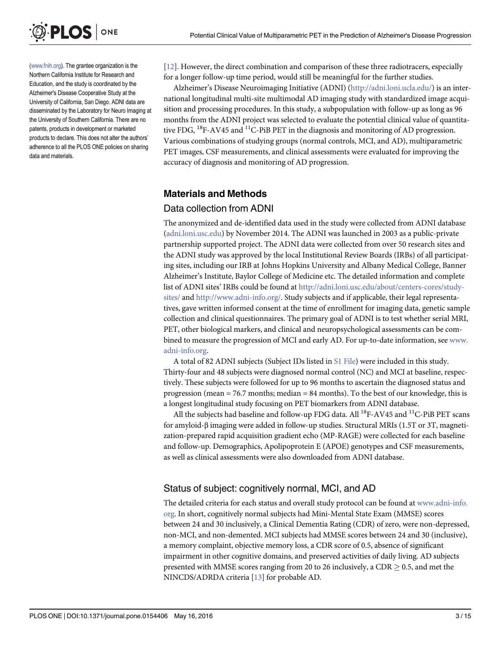<span id="page-2-0"></span>

[\(www.fnih.org\)](http://www.fnih.org). The grantee organization is the Northern California Institute for Research and Education, and the study is coordinated by the Alzheimer's Disease Cooperative Study at the University of California, San Diego. ADNI data are disseminated by the Laboratory for Neuro Imaging at the University of Southern California. There are no patents, products in development or marketed products to declare. This does not alter the authors' adherence to all the PLOS ONE policies on sharing data and materials.

[\[12](#page-12-0)]. However, the direct combination and comparison of these three radiotracers, especially for a longer follow-up time period, would still be meaningful for the further studies.

Alzheimer's Disease Neuroimaging Initiative (ADNI) ([http://adni.loni.ucla.edu/\)](http://adni.loni.ucla.edu/) is an international longitudinal multi-site multimodal AD imaging study with standardized image acquisition and processing procedures. In this study, a subpopulation with follow-up as long as 96 months from the ADNI project was selected to evaluate the potential clinical value of quantitative FDG,  $^{18}$ F-AV45 and  $^{11}$ C-PiB PET in the diagnosis and monitoring of AD progression. Various combinations of studying groups (normal controls, MCI, and AD), multiparametric PET images, CSF measurements, and clinical assessments were evaluated for improving the accuracy of diagnosis and monitoring of AD progression.

## Materials and Methods

#### Data collection from ADNI

The anonymized and de-identified data used in the study were collected from ADNI database [\(adni.loni.usc.edu\)](http://adni.loni.usc.edu) by November 2014. The ADNI was launched in 2003 as a public-private partnership supported project. The ADNI data were collected from over 50 research sites and the ADNI study was approved by the local Institutional Review Boards (IRBs) of all participating sites, including our IRB at Johns Hopkins University and Albany Medical College, Banner Alzheimer's Institute, Baylor College of Medicine etc. The detailed information and complete list of ADNI sites' IRBs could be found at [http://adni.loni.usc.edu/about/centers-cores/study](http://adni.loni.usc.edu/about/centers-cores/study-sites/)[sites/](http://adni.loni.usc.edu/about/centers-cores/study-sites/) and <http://www.adni-info.org/>. Study subjects and if applicable, their legal representatives, gave written informed consent at the time of enrollment for imaging data, genetic sample collection and clinical questionnaires. The primary goal of ADNI is to test whether serial MRI, PET, other biological markers, and clinical and neuropsychological assessments can be combined to measure the progression of MCI and early AD. For up-to-date information, see [www.](http://www.adni-info.org/) [adni-info.org.](http://www.adni-info.org/)

A total of 82 ADNI subjects (Subject IDs listed in [S1 File](#page-11-0)) were included in this study. Thirty-four and 48 subjects were diagnosed normal control (NC) and MCI at baseline, respectively. These subjects were followed for up to 96 months to ascertain the diagnosed status and progression (mean  $= 76.7$  months; median  $= 84$  months). To the best of our knowledge, this is a longest longitudinal study focusing on PET biomarkers from ADNI database.

All the subjects had baseline and follow-up FDG data. All  $^{18}$ F-AV45 and  $^{11}$ C-PiB PET scans for amyloid-β imaging were added in follow-up studies. Structural MRIs (1.5T or 3T, magnetization-prepared rapid acquisition gradient echo (MP-RAGE) were collected for each baseline and follow-up. Demographics, Apolipoprotein E (APOE) genotypes and CSF measurements, as well as clinical assessments were also downloaded from ADNI database.

### Status of subject: cognitively normal, MCI, and AD

The detailed criteria for each status and overall study protocol can be found at [www.adni-info.](http://www.adni-info.org/) [org](http://www.adni-info.org/). In short, cognitively normal subjects had Mini-Mental State Exam (MMSE) scores between 24 and 30 inclusively, a Clinical Dementia Rating (CDR) of zero, were non-depressed, non-MCI, and non-demented. MCI subjects had MMSE scores between 24 and 30 (inclusive), a memory complaint, objective memory loss, a CDR score of 0.5, absence of significant impairment in other cognitive domains, and preserved activities of daily living. AD subjects presented with MMSE scores ranging from 20 to 26 inclusively, a CDR  $\geq$  0.5, and met the NINCDS/ADRDA criteria [[13](#page-12-0)] for probable AD.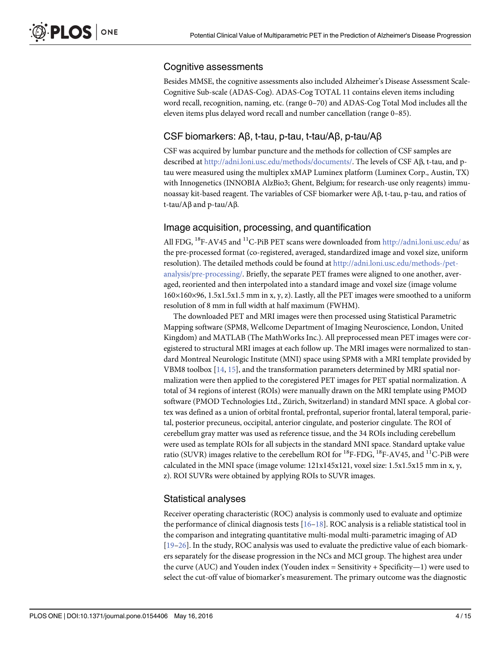## <span id="page-3-0"></span>Cognitive assessments

Besides MMSE, the cognitive assessments also included Alzheimer's Disease Assessment Scale-Cognitive Sub-scale (ADAS-Cog). ADAS-Cog TOTAL 11 contains eleven items including word recall, recognition, naming, etc. (range 0–70) and ADAS-Cog Total Mod includes all the eleven items plus delayed word recall and number cancellation (range 0–85).

## CSF biomarkers: Aβ, t-tau, p-tau, t-tau/Aβ, p-tau/Aβ

CSF was acquired by lumbar puncture and the methods for collection of CSF samples are described at <http://adni.loni.usc.edu/methods/documents/>. The levels of CSF Aβ, t-tau, and ptau were measured using the multiplex xMAP Luminex platform (Luminex Corp., Austin, TX) with Innogenetics (INNOBIA AlzBio3; Ghent, Belgium; for research-use only reagents) immunoassay kit-based reagent. The variables of CSF biomarker were Aβ, t-tau, p-tau, and ratios of t-tau/Aβ and p-tau/Aβ.

## Image acquisition, processing, and quantification

All FDG, <sup>18</sup>F-AV45 and <sup>11</sup>C-PiB PET scans were downloaded from <http://adni.loni.usc.edu/> as the pre-processed format (co-registered, averaged, standardized image and voxel size, uniform resolution). The detailed methods could be found at [http://adni.loni.usc.edu/methods-/pet](http://adni.loni.usc.edu/methods-/pet-analysis/pre-processing/)[analysis/pre-processing/](http://adni.loni.usc.edu/methods-/pet-analysis/pre-processing/). Briefly, the separate PET frames were aligned to one another, averaged, reoriented and then interpolated into a standard image and voxel size (image volume 160×160×96, 1.5x1.5x1.5 mm in x, y, z). Lastly, all the PET images were smoothed to a uniform resolution of 8 mm in full width at half maximum (FWHM).

The downloaded PET and MRI images were then processed using Statistical Parametric Mapping software (SPM8, Wellcome Department of Imaging Neuroscience, London, United Kingdom) and MATLAB (The MathWorks Inc.). All preprocessed mean PET images were coregistered to structural MRI images at each follow up. The MRI images were normalized to standard Montreal Neurologic Institute (MNI) space using SPM8 with a MRI template provided by VBM8 toolbox  $[14, 15]$  $[14, 15]$  $[14, 15]$  $[14, 15]$  $[14, 15]$ , and the transformation parameters determined by MRI spatial normalization were then applied to the coregistered PET images for PET spatial normalization. A total of 34 regions of interest (ROIs) were manually drawn on the MRI template using PMOD software (PMOD Technologies Ltd., Zürich, Switzerland) in standard MNI space. A global cortex was defined as a union of orbital frontal, prefrontal, superior frontal, lateral temporal, parietal, posterior precuneus, occipital, anterior cingulate, and posterior cingulate. The ROI of cerebellum gray matter was used as reference tissue, and the 34 ROIs including cerebellum were used as template ROIs for all subjects in the standard MNI space. Standard uptake value ratio (SUVR) images relative to the cerebellum ROI for  $^{18}$ F-FDG,  $^{18}$ F-AV45, and  $^{11}$ C-PiB were calculated in the MNI space (image volume:  $121x145x121$ , voxel size:  $1.5x1.5x15$  mm in x, y, z). ROI SUVRs were obtained by applying ROIs to SUVR images.

## Statistical analyses

Receiver operating characteristic (ROC) analysis is commonly used to evaluate and optimize the performance of clinical diagnosis tests  $[16-18]$  $[16-18]$  $[16-18]$  $[16-18]$  $[16-18]$ . ROC analysis is a reliable statistical tool in the comparison and integrating quantitative multi-modal multi-parametric imaging of AD [\[19](#page-12-0)–[26\]](#page-13-0). In the study, ROC analysis was used to evaluate the predictive value of each biomarkers separately for the disease progression in the NCs and MCI group. The highest area under the curve (AUC) and Youden index (Youden index = Sensitivity + Specificity—1) were used to select the cut-off value of biomarker's measurement. The primary outcome was the diagnostic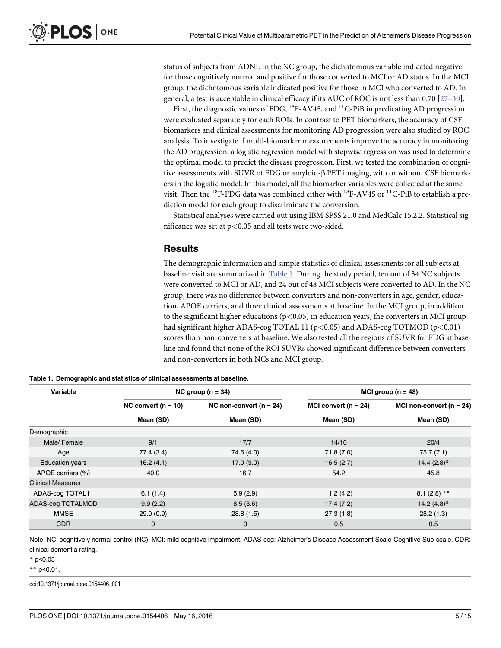<span id="page-4-0"></span>status of subjects from ADNI. In the NC group, the dichotomous variable indicated negative for those cognitively normal and positive for those converted to MCI or AD status. In the MCI group, the dichotomous variable indicated positive for those in MCI who converted to AD. In general, a test is acceptable in clinical efficacy if its AUC of ROC is not less than 0.70 [\[27](#page-13-0)-[30](#page-13-0)].

First, the diagnostic values of FDG,  ${}^{18}$ F-AV45, and  ${}^{11}$ C-PiB in predicating AD progression were evaluated separately for each ROIs. In contrast to PET biomarkers, the accuracy of CSF biomarkers and clinical assessments for monitoring AD progression were also studied by ROC analysis. To investigate if multi-biomarker measurements improve the accuracy in monitoring the AD progression, a logistic regression model with stepwise regression was used to determine the optimal model to predict the disease progression. First, we tested the combination of cognitive assessments with SUVR of FDG or amyloid-β PET imaging, with or without CSF biomarkers in the logistic model. In this model, all the biomarker variables were collected at the same visit. Then the <sup>18</sup>F-FDG data was combined either with <sup>18</sup>F-AV45 or <sup>11</sup>C-PiB to establish a prediction model for each group to discriminate the conversion.

Statistical analyses were carried out using IBM SPSS 21.0 and MedCalc 15.2.2. Statistical significance was set at  $p<0.05$  and all tests were two-sided.

#### **Results**

The demographic information and simple statistics of clinical assessments for all subjects at baseline visit are summarized in Table 1. During the study period, ten out of 34 NC subjects were converted to MCI or AD, and 24 out of 48 MCI subjects were converted to AD. In the NC group, there was no difference between converters and non-converters in age, gender, education, APOE carriers, and three clinical assessments at baseline. In the MCI group, in addition to the significant higher educations ( $p<0.05$ ) in education years, the converters in MCI group had significant higher ADAS-cog TOTAL 11 (p<0.05) and ADAS-cog TOTMOD (p<0.01) scores than non-converters at baseline. We also tested all the regions of SUVR for FDG at baseline and found that none of the ROI SUVRs showed significant difference between converters and non-converters in both NCs and MCI group.

| Variable                 |                       | NC group $(n = 34)$         | MCI group $(n = 48)$     |                                           |  |
|--------------------------|-----------------------|-----------------------------|--------------------------|-------------------------------------------|--|
|                          | NC convert $(n = 10)$ | NC non-convert ( $n = 24$ ) | MCI convert ( $n = 24$ ) | MCI non-convert ( $n = 24$ )<br>Mean (SD) |  |
|                          | Mean (SD)             | Mean (SD)                   | Mean (SD)                |                                           |  |
| Demographic              |                       |                             |                          |                                           |  |
| Male/Female              | 9/1                   | 17/7                        | 14/10                    | 20/4                                      |  |
| Age                      | 77.4 (3.4)            | 74.6 (4.0)                  | 71.8(7.0)                | 75.7(7.1)                                 |  |
| <b>Education years</b>   | 16.2(4.1)             | 17.0(3.0)                   | 16.5(2.7)                | 14.4 $(2.8)$ *                            |  |
| APOE carriers (%)        | 40.0                  | 16.7                        | 54.2                     | 45.8                                      |  |
| <b>Clinical Measures</b> |                       |                             |                          |                                           |  |
| ADAS-cog TOTAL11         | 6.1(1.4)              | 5.9(2.9)                    | 11.2(4.2)                | $8.1(2.8)$ **                             |  |
| ADAS-cog TOTALMOD        | 9.9(2.2)              | 8.5(3.6)                    | 17.4(7.2)                | 14.2 $(4.8)$ <sup>*</sup>                 |  |
| <b>MMSE</b>              | 29.0(0.9)             | 28.8(1.5)                   | 27.3(1.8)                | 28.2(1.3)                                 |  |
| <b>CDR</b>               | 0                     | 0                           | 0.5                      | 0.5                                       |  |

Table 1. Demographic and statistics of clinical assessments at baseline.

Note: NC: cognitively normal control (NC), MCI: mild cognitive impairment, ADAS-cog: Alzheimer's Disease Assessment Scale-Cognitive Sub-scale, CDR: clinical dementia rating.

 $*$  p<0.05

\*\* p<0.01.

doi:10.1371/journal.pone.0154406.t001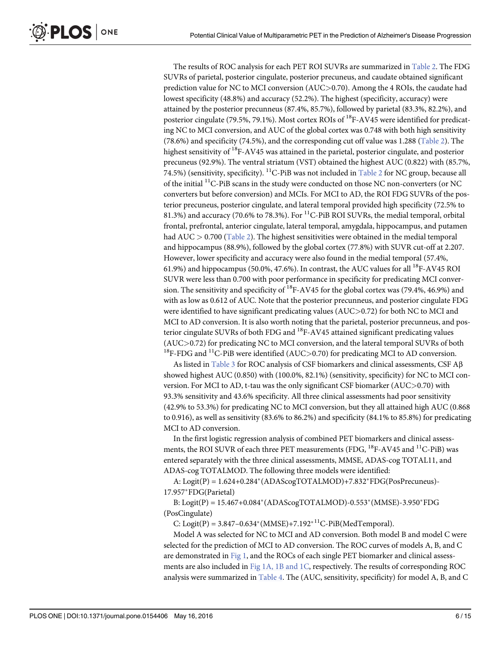<span id="page-5-0"></span>The results of ROC analysis for each PET ROI SUVRs are summarized in [Table 2.](#page-6-0) The FDG SUVRs of parietal, posterior cingulate, posterior precuneus, and caudate obtained significant prediction value for NC to MCI conversion (AUC>0.70). Among the 4 ROIs, the caudate had lowest specificity (48.8%) and accuracy (52.2%). The highest (specificity, accuracy) were attained by the posterior precunneus (87.4%, 85.7%), followed by parietal (83.3%, 82.2%), and posterior cingulate (79.5%, 79.1%). Most cortex ROIs of <sup>18</sup>F-AV45 were identified for predicating NC to MCI conversion, and AUC of the global cortex was 0.748 with both high sensitivity (78.6%) and specificity (74.5%), and the corresponding cut off value was 1.288 [\(Table 2](#page-6-0)). The highest sensitivity of  ${}^{18}F$ -AV45 was attained in the parietal, posterior cingulate, and posterior precuneus (92.9%). The ventral striatum (VST) obtained the highest AUC (0.822) with (85.7%, 74.5%) (sensitivity, specificity).  $^{11}$ C-PiB was not included in [Table 2](#page-6-0) for NC group, because all of the initial  $^{11}$ C-PiB scans in the study were conducted on those NC non-converters (or NC converters but before conversion) and MCIs. For MCI to AD, the ROI FDG SUVRs of the posterior precuneus, posterior cingulate, and lateral temporal provided high specificity (72.5% to 81.3%) and accuracy (70.6% to 78.3%). For  $^{11}$ C-PiB ROI SUVRs, the medial temporal, orbital frontal, prefrontal, anterior cingulate, lateral temporal, amygdala, hippocampus, and putamen had  $AUC > 0.700$  ([Table 2](#page-6-0)). The highest sensitivities were obtained in the medial temporal and hippocampus (88.9%), followed by the global cortex (77.8%) with SUVR cut-off at 2.207. However, lower specificity and accuracy were also found in the medial temporal (57.4%, 61.9%) and hippocampus (50.0%, 47.6%). In contrast, the AUC values for all  ${}^{18}$ F-AV45 ROI SUVR were less than 0.700 with poor performance in specificity for predicating MCI conversion. The sensitivity and specificity of  $^{18}$ F-AV45 for the global cortex was (79.4%, 46.9%) and with as low as 0.612 of AUC. Note that the posterior precunneus, and posterior cingulate FDG were identified to have significant predicating values (AUC>0.72) for both NC to MCI and MCI to AD conversion. It is also worth noting that the parietal, posterior precunneus, and posterior cingulate SUVRs of both FDG and <sup>18</sup>F-AV45 attained significant predicating values (AUC>0.72) for predicating NC to MCI conversion, and the lateral temporal SUVRs of both  $^{18}$ F-FDG and  $^{11}$ C-PiB were identified (AUC>0.70) for predicating MCI to AD conversion.

As listed in [Table 3](#page-7-0) for ROC analysis of CSF biomarkers and clinical assessments, CSF  $\mathsf{A}\beta$ showed highest AUC (0.850) with (100.0%, 82.1%) (sensitivity, specificity) for NC to MCI conversion. For MCI to AD, t-tau was the only significant CSF biomarker (AUC>0.70) with 93.3% sensitivity and 43.6% specificity. All three clinical assessments had poor sensitivity (42.9% to 53.3%) for predicating NC to MCI conversion, but they all attained high AUC (0.868 to 0.916), as well as sensitivity (83.6% to 86.2%) and specificity (84.1% to 85.8%) for predicating MCI to AD conversion.

In the first logistic regression analysis of combined PET biomarkers and clinical assessments, the ROI SUVR of each three PET measurements (FDG, <sup>18</sup>F-AV45 and <sup>11</sup>C-PiB) was entered separately with the three clinical assessments, MMSE, ADAS-cog TOTAL11, and ADAS-cog TOTALMOD. The following three models were identified:

A:  $Logit(P) = 1.624+0.284*(ADASCogTOTALMOD)+7.832*FDG(PosPrecuneus)$ 17.957\*FDG(Parietal)

B: Logit(P) =  $15.467+0.084*(ADASCogTOTALMOD)-0.553*(MMSE)-3.950*FDG$ (PosCingulate)

C: Logit(P) =  $3.847 - 0.634*(MMSE) + 7.192^{*11}C-PiB(MedTemporal)$ .

Model A was selected for NC to MCI and AD conversion. Both model B and model C were selected for the prediction of MCI to AD conversion. The ROC curves of models A, B, and C are demonstrated in [Fig 1](#page-7-0), and the ROCs of each single PET biomarker and clinical assess-ments are also included in [Fig 1A, 1B and 1C,](#page-7-0) respectively. The results of corresponding ROC analysis were summarized in [Table 4](#page-8-0). The (AUC, sensitivity, specificity) for model A, B, and C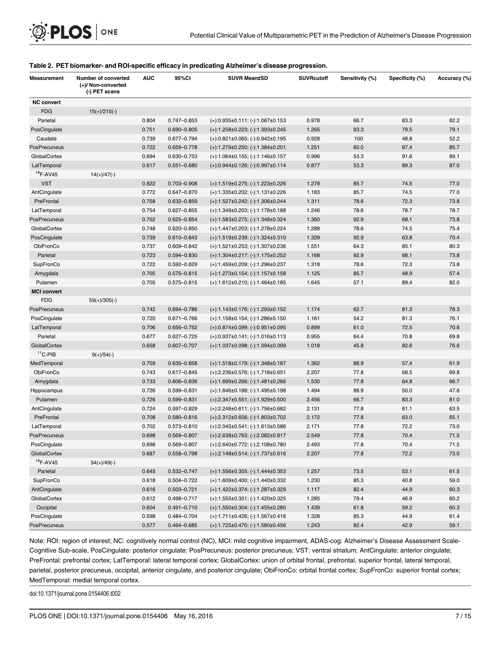| <b>Measurement</b> | Number of converted<br>(+)/ Non-converted<br>(-) PET scans | <b>AUC</b> | 95%CI           | <b>SUVR Mean±SD</b>                          | <b>SUVRcutoff</b> | Sensitivity (%) | Specificity (%) | Accuracy (%) |
|--------------------|------------------------------------------------------------|------------|-----------------|----------------------------------------------|-------------------|-----------------|-----------------|--------------|
| <b>NC convert</b>  |                                                            |            |                 |                                              |                   |                 |                 |              |
| <b>FDG</b>         | $15(+)/215(-)$                                             |            |                 |                                              |                   |                 |                 |              |
| Parietal           |                                                            | 0.804      | 0.747-0.853     | $(+).0.935\pm0.111; (-).1.067\pm0.153$       | 0.978             | 66.7            | 83.3            | 82.2         |
| PosCingulate       |                                                            | 0.751      | $0.690 - 0.805$ | $(+): 1.258 \pm 0.223; (-): 1.393 \pm 0.245$ | 1.265             | 93.3            | 79.5            | 79.1         |
| Caudate            |                                                            | 0.739      | $0.677 - 0.794$ | $(+).0.821\pm0.065; (-).0.942\pm0.195$       | 0.928             | 100             | 48.8            | 52.2         |
| PosPrecuneus       |                                                            | 0.722      | 0.659-0.778     | $(+):1.279\pm0.250; (-):1.384\pm0.201$       | 1.251             | 60.0            | 87.4            | 85.7         |
| GlobalCortex       |                                                            | 0.694      | 0.630-0.753     | $(+): 1.064 \pm 0.155; (-): 1.146 \pm 0.157$ | 0.996             | 53.3            | 91.6            | 89.1         |
| LatTemporal        |                                                            | 0.617      | $0.551 - 0.680$ | $(+).0.944\pm0.126; (-).0.997\pm0.114$       | 0.877             | 53.3            | 89.3            | 87.0         |
| $18$ F-AV45        | $14(+)/47(-)$                                              |            |                 |                                              |                   |                 |                 |              |
| <b>VST</b>         |                                                            | 0.822      | 0.703-0.908     | $(+): 1.519 \pm 0.275; (-): 1.223 \pm 0.226$ | 1.278             | 85.7            | 74.5            | 77.0         |
| AntCingulate       |                                                            | 0.772      | $0.647 - 0.870$ | $(+): 1.335 \pm 0.202; (-): 1.131 \pm 0.226$ | 1.183             | 85.7            | 74.5            | 77.0         |
| PreFrontal         |                                                            | 0.758      | $0.632 - 0.859$ | $(+):1.527\pm0.242; (-):1.306\pm0.244$       | 1.311             | 78.6            | 72.3            | 73.8         |
| LatTemporal        |                                                            | 0.754      | $0.627 - 0.855$ | $(+): 1.349 \pm 0.203; (-): 1.178 \pm 0.188$ | 1.246             | 78.6            | 78.7            | 78.7         |
| PosPrecuneus       |                                                            | 0.752      | $0.625 - 0.854$ | $(+): 1.583 \pm 0.275; (-): 1.348 \pm 0.324$ | 1.360             | 92.9            | 68.1            | 73.8         |
| GlobalCortex       |                                                            | 0.748      | $0.620 - 0.850$ | (+):1.447±0.203; (-):1.278±0.224             | 1.288             | 78.6            | 74.5            | 75.4         |
| PosCingulate       |                                                            | 0.739      | $0.610 - 0.843$ | (+):1.519±0.239; (-):1.324±0.310             | 1.329             | 92.9            | 63.8            | 70.4         |
| ObiFronCo          |                                                            | 0.737      | $0.609 - 0.842$ | $(+):1.521\pm0.253; (-):1.307\pm0.236$       | 1.551             | 64.3            | 85.1            | 80.3         |
| Parietal           |                                                            | 0.723      | 0.594-0.830     | $(+): 1.304 \pm 0.217; (-): 1.175 \pm 0.252$ | 1.168             | 92.9            | 68.1            | 73.8         |
| SupFronCo          |                                                            | 0.722      | 0.592-0.829     | $(+): 1.459 \pm 0.209; (-): 1.296 \pm 0.237$ | 1.318             | 78.6            | 72.3            | 73.8         |
| Amygdala           |                                                            | 0.705      | $0.575 - 0.815$ | $(+): 1.273 \pm 0.154; (-): 1.157 \pm 0.158$ | 1.125             | 85.7            | 48.9            | 57.4         |
| Putamen            |                                                            | 0.705      | 0.575-0.815     | $(+):1.612\pm0.210; (-):1.464\pm0.185$       | 1.645             | 57.1            | 89.4            | 82.0         |
| <b>MCI</b> convert |                                                            |            |                 |                                              |                   |                 |                 |              |
| <b>FDG</b>         | $59(+)/305(-)$                                             |            |                 |                                              |                   |                 |                 |              |
| PosPrecuneus       |                                                            | 0.742      | 0.694-0.786     | $(+): 1.143 \pm 0.176; (-): 1.293 \pm 0.152$ | 1.174             | 62.7            | 81.3            | 78.3         |
| PosCingulate       |                                                            | 0.720      | $0.671 - 0.766$ | $(+): 1.158 \pm 0.154; (-): 1.286 \pm 0.150$ | 1.161             | 54.2            | 81.3            | 76.1         |
| LatTemporal        |                                                            | 0.706      | 0.656-0.752     | $(+).0.874\pm0.099; (-).0.951\pm0.095$       | 0.899             | 61.0            | 72.5            | 70.6         |
| Parietal           |                                                            | 0.677      | $0.627 - 0.725$ | $(+).0.937\pm0.141; (-).1.016\pm0.113$       | 0.955             | 64.4            | 70.8            | 69.8         |
| GlobalCortex       |                                                            | 0.658      | $0.607 - 0.707$ | (+):1.037±0.098; (-):1.094±0.099             | 1.018             | 45.8            | 82.6            | 76.6         |
| $11$ C-PIB         | $9(+)/54(-)$                                               |            |                 |                                              |                   |                 |                 |              |
| MedTemporal        |                                                            | 0.759      | 0.635-0.858     | $(+): 1.518 \pm 0.179; (-): 1.348 \pm 0.187$ | 1.362             | 88.9            | 57.4            | 61.9         |
| ObiFronCo          |                                                            | 0.743      | 0.617-0.845     | $(+).2.236\pm0.576; (-).1.718\pm0.651$       | 2.207             | 77.8            | 68.5            | 69.8         |
| Amygdala           |                                                            | 0.733      | $0.606 - 0.836$ | $(+):1.699\pm0.266; (-):1.481\pm0.266$       | 1.530             | 77.8            | 64.8            | 66.7         |
| Hippocampus        |                                                            | 0.726      | 0.599-0.831     | $(+): 1.646 \pm 0.188; (-): 1.495 \pm 0.198$ | 1.494             | 88.9            | 50.0            | 47.6         |
| Putamen            |                                                            | 0.726      | 0.599-0.831     | $(+).2.347\pm0.551; (-).1.929\pm0.500$       | 2.456             | 66.7            | 83.3            | 81.0         |
| AntCingulate       |                                                            | 0.724      | $0.597 - 0.829$ | $(+).2.248 \pm 0.611; (-).1.756 \pm 0.682$   | 2.131             | 77.8            | 61.1            | 63.5         |
| PreFrontal         |                                                            | 0.708      | 0.580-0.816     | $(+).2.312\pm0.656; (-).1.803\pm0.702$       | 2.172             | 77.8            | 63.0            | 65.1         |
| LatTemporal        |                                                            | 0.702      | $0.573 - 0.810$ | $(+):2.045\pm0.541; (-):1.613\pm0.586$       | 2.171             | 77.8            | 72.2            | 73.0         |
| PosPrecuneus       |                                                            | 0.698      | 0.569-0.807     | $(+).2.638\pm0.763; (-).2.082\pm0.817$       | 2.549             | 77.8            | 70.4            | 71.5         |
| PosCingulate       |                                                            | 0.698      | 0.569-0.807     | $(+):2.640\pm0.772; (-):2.108\pm0.780$       | 2.493             | 77.8            | 70.4            | 71.5         |
| GlobalCortex       |                                                            | 0.687      | 0.558-0.798     | (+):2.148±0.514; (-):1.737±0.616             | 2.207             | 77.8            | 72.2            | 73.0         |
| $18$ F-AV45        | $34(+)/49(-)$                                              |            |                 |                                              |                   |                 |                 |              |
| Parietal           |                                                            | 0.645      | 0.532-0.747     | $(+): 1.556 \pm 0.355; (-): 1.444 \pm 0.353$ | 1.257             | 73.5            | 53.1            | 61.5         |
| SupFronCo          |                                                            | 0.618      | 0.504-0.722     | (+):1.609±0.400; (-):1.440±0.332             | 1.230             | 85.3            | 40.8            | 59.0         |
| AntCingulate       |                                                            | 0.616      | $0.503 - 0.721$ | $(+): 1.422 \pm 0.374; (-): 1.287 \pm 0.329$ | 1.117             | 82.4            | 44.9            | 60.3         |
| GlobalCortex       |                                                            | 0.612      | 0.498-0.717     | $(+): 1.555 \pm 0.351; (-): 1.420 \pm 0.325$ | 1.285             | 79.4            | 46.9            | 60.2         |
| Occipital          |                                                            | 0.604      | $0.491 - 0.710$ | $(+): 1.550 \pm 0.304; (-): 1.455 \pm 0.280$ | 1.439             | 61.8            | 59.2            | 60.3         |
| PosCingulate       |                                                            | 0.598      | 0.484-0.704     | $(+):1.711\pm0.426; (-):1.567\pm0.416$       | 1.328             | 85.3            | 44.9            | 61.4         |
| PosPrecuneus       |                                                            | 0.577      | 0.464-0.685     | $(+): 1.725 \pm 0.470; (-): 1.580 \pm 0.456$ | 1.243             | 82.4            | 42.9            | 59.1         |

#### <span id="page-6-0"></span>[Table 2.](#page-5-0) PET biomarker- and ROI-specific efficacy in predicating Alzheimer's disease progression.

Note: ROI: region of interest; NC: cognitively normal control (NC), MCI: mild cognitive impairment, ADAS-cog: Alzheimer's Disease Assessment Scale-Cognitive Sub-scale, PosCingulate: posterior cingulate; PosPrecuneus: posterior precuneus; VST: ventral striatum; AntCingulate: anterior cingulate; PreFrontal: prefrontal cortex; LatTemporal: lateral temporal cortex; GlobalCortex: union of orbital frontal, prefrontal, superior frontal, lateral temporal, parietal, posterior precuneus, occipital, anterior cingulate, and posterior cingulate; ObiFronCo: orbital frontal cortex; SupFronCo: superior frontal cortex; MedTemporal: medial temporal cortex.

doi:10.1371/journal.pone.0154406.t002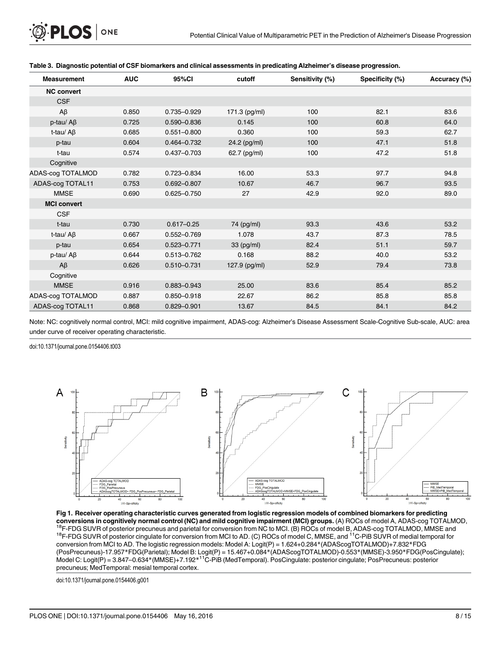| <b>Measurement</b>  | <b>AUC</b> | 95%CI           | cutoff          | Sensitivity (%) | Specificity (%) | Accuracy (%) |
|---------------------|------------|-----------------|-----------------|-----------------|-----------------|--------------|
| <b>NC convert</b>   |            |                 |                 |                 |                 |              |
| <b>CSF</b>          |            |                 |                 |                 |                 |              |
| $A\beta$            | 0.850      | 0.735-0.929     | 171.3 (pg/ml)   | 100             | 82.1            | 83.6         |
| $p$ -tau/ A $\beta$ | 0.725      | $0.590 - 0.836$ | 0.145           | 100             | 60.8            | 64.0         |
| t-tau/ $A\beta$     | 0.685      | $0.551 - 0.800$ | 0.360           | 100             | 59.3            | 62.7         |
| p-tau               | 0.604      | $0.464 - 0.732$ | 24.2 (pg/ml)    | 100             | 47.1            | 51.8         |
| t-tau               | 0.574      | $0.437 - 0.703$ | 62.7 (pg/ml)    | 100             | 47.2            | 51.8         |
| Cognitive           |            |                 |                 |                 |                 |              |
| ADAS-cog TOTALMOD   | 0.782      | 0.723-0.834     | 16.00           | 53.3            | 97.7            | 94.8         |
| ADAS-cog TOTAL11    | 0.753      | $0.692 - 0.807$ | 10.67           | 46.7            | 96.7            | 93.5         |
| <b>MMSE</b>         | 0.690      | $0.625 - 0.750$ | 27              | 42.9            | 92.0            | 89.0         |
| <b>MCI convert</b>  |            |                 |                 |                 |                 |              |
| <b>CSF</b>          |            |                 |                 |                 |                 |              |
| t-tau               | 0.730      | $0.617 - 0.25$  | 74 (pg/ml)      | 93.3            | 43.6            | 53.2         |
| t-tau/ $A\beta$     | 0.667      | $0.552 - 0.769$ | 1.078           | 43.7            | 87.3            | 78.5         |
| p-tau               | 0.654      | $0.523 - 0.771$ | $33$ (pg/ml)    | 82.4            | 51.1            | 59.7         |
| $p$ -tau/ A $\beta$ | 0.644      | $0.513 - 0.762$ | 0.168           | 88.2            | 40.0            | 53.2         |
| $A\beta$            | 0.626      | $0.510 - 0.731$ | 127.9 $(pg/ml)$ | 52.9            | 79.4            | 73.8         |
| Cognitive           |            |                 |                 |                 |                 |              |
| <b>MMSE</b>         | 0.916      | 0.883-0.943     | 25.00           | 83.6            | 85.4            | 85.2         |
| ADAS-cog TOTALMOD   | 0.887      | $0.850 - 0.918$ | 22.67           | 86.2            | 85.8            | 85.8         |
| ADAS-cog TOTAL11    | 0.868      | $0.829 - 0.901$ | 13.67           | 84.5            | 84.1            | 84.2         |

<span id="page-7-0"></span>

| Table 3. Diagnostic potential of CSF biomarkers and clinical assessments in predicating Alzheimer's disease progression. |  |
|--------------------------------------------------------------------------------------------------------------------------|--|
|                                                                                                                          |  |

Note: NC: cognitively normal control, MCI: mild cognitive impairment, ADAS-cog: Alzheimer's Disease Assessment Scale-Cognitive Sub-scale, AUC: area under curve of receiver operating characteristic.

doi:10.1371/journal.pone.0154406.t003



[Fig 1. R](#page-5-0)eceiver operating characteristic curves generated from logistic regression models of combined biomarkers for predicting conversions in cognitively normal control (NC) and mild cognitive impairment (MCI) groups. (A) ROCs of model A, ADAS-cog TOTALMOD,  $^{18}$ F-FDG SUVR of posterior precuneus and parietal for conversion from NC to MCI. (B) ROC conversion from MCI to AD. The logistic regression models: Model A: Logit(P) = 1.624+0.284\*(ADAScogTOTALMOD)+7.832\*FDG (PosPrecuneus)-17.957\*FDG(Parietal); Model B: Logit(P) = 15.467+0.084\*(ADAScogTOTALMOD)-0.553\*(MMSE)-3.950\*FDG(PosCingulate); Model C: Logit(P) = 3.847–0.634\*(MMSE)+7.192\*11C-PiB (MedTemporal). PosCingulate: posterior cingulate; PosPrecuneus: posterior precuneus; MedTemporal: mesial temporal cortex.

doi:10.1371/journal.pone.0154406.g001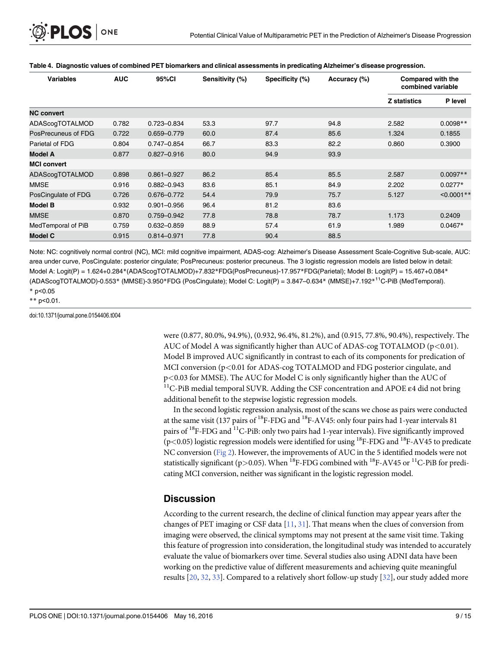<span id="page-8-0"></span>

| <b>Variables</b>    | <b>AUC</b> | 95%CI           | Sensitivity (%) | Specificity (%) | Accuracy (%) | <b>Compared with the</b><br>combined variable |               |
|---------------------|------------|-----------------|-----------------|-----------------|--------------|-----------------------------------------------|---------------|
|                     |            |                 |                 |                 |              | <b>Z</b> statistics                           | P level       |
| <b>NC convert</b>   |            |                 |                 |                 |              |                                               |               |
| ADAScogTOTALMOD     | 0.782      | 0.723-0.834     | 53.3            | 97.7            | 94.8         | 2.582                                         | $0.0098**$    |
| PosPrecuneus of FDG | 0.722      | $0.659 - 0.779$ | 60.0            | 87.4            | 85.6         | 1.324                                         | 0.1855        |
| Parietal of FDG     | 0.804      | $0.747 - 0.854$ | 66.7            | 83.3            | 82.2         | 0.860                                         | 0.3900        |
| <b>Model A</b>      | 0.877      | $0.827 - 0.916$ | 80.0            | 94.9            | 93.9         |                                               |               |
| <b>MCI convert</b>  |            |                 |                 |                 |              |                                               |               |
| ADAScogTOTALMOD     | 0.898      | $0.861 - 0.927$ | 86.2            | 85.4            | 85.5         | 2.587                                         | $0.0097**$    |
| MMSE                | 0.916      | $0.882 - 0.943$ | 83.6            | 85.1            | 84.9         | 2.202                                         | $0.0277*$     |
| PosCingulate of FDG | 0.726      | 0.676-0.772     | 54.4            | 79.9            | 75.7         | 5.127                                         | $< 0.0001$ ** |
| <b>Model B</b>      | 0.932      | $0.901 - 0.956$ | 96.4            | 81.2            | 83.6         |                                               |               |
| MMSE                | 0.870      | 0.759-0.942     | 77.8            | 78.8            | 78.7         | 1.173                                         | 0.2409        |
| MedTemporal of PiB  | 0.759      | $0.632 - 0.859$ | 88.9            | 57.4            | 61.9         | 1.989                                         | $0.0467*$     |
| <b>Model C</b>      | 0.915      | 0.814-0.971     | 77.8            | 90.4            | 88.5         |                                               |               |

#### [Table 4.](#page-5-0) Diagnostic values of combined PET biomarkers and clinical assessments in predicating Alzheimer's disease progression.

Note: NC: cognitively normal control (NC), MCI: mild cognitive impairment, ADAS-cog: Alzheimer's Disease Assessment Scale-Cognitive Sub-scale, AUC: area under curve, PosCingulate: posterior cingulate; PosPrecuneus: posterior precuneus. The 3 logistic regression models are listed below in detail: Model A: Logit(P) = 1.624+0.284\*(ADAScogTOTALMOD)+7.832\*FDG(PosPrecuneus)-17.957\*FDG(Parietal); Model B: Logit(P) = 15.467+0.084\* (ADAScogTOTALMOD)-0.553\* (MMSE)-3.950\*FDG (PosCingulate); Model C: Logit(P) = 3.847–0.634\* (MMSE)+7.192\*11C-PiB (MedTemporal). \* p<0.05

\*\* p<0.01.

doi:10.1371/journal.pone.0154406.t004

were (0.877, 80.0%, 94.9%), (0.932, 96.4%, 81.2%), and (0.915, 77.8%, 90.4%), respectively. The AUC of Model A was significantly higher than AUC of ADAS-cog TOTALMOD ( $p<0.01$ ). Model B improved AUC significantly in contrast to each of its components for predication of MCI conversion ( $p<0.01$  for ADAS-cog TOTALMOD and FDG posterior cingulate, and p<0.03 for MMSE). The AUC for Model C is only significantly higher than the AUC of <sup>11</sup>C-PiB medial temporal SUVR. Adding the CSF concentration and APOE  $\varepsilon$ 4 did not bring additional benefit to the stepwise logistic regression models.

In the second logistic regression analysis, most of the scans we chose as pairs were conducted at the same visit (137 pairs of  ${}^{18}$ F-FDG and  ${}^{18}$ F-AV45: only four pairs had 1-year intervals 81 pairs of <sup>18</sup>F-FDG and <sup>11</sup>C-PiB: only two pairs had 1-year intervals). Five significantly improved ( $p$ <0.05) logistic regression models were identified for using <sup>18</sup>F-FDG and <sup>18</sup>F-AV45 to predicate NC conversion [\(Fig 2](#page-9-0)). However, the improvements of AUC in the 5 identified models were not statistically significant (p>0.05). When <sup>18</sup>F-FDG combined with <sup>18</sup>F-AV45 or <sup>11</sup>C-PiB for predicating MCI conversion, neither was significant in the logistic regression model.

#### **Discussion**

According to the current research, the decline of clinical function may appear years after the changes of PET imaging or CSF data [\[11,](#page-12-0) [31\]](#page-13-0). That means when the clues of conversion from imaging were observed, the clinical symptoms may not present at the same visit time. Taking this feature of progression into consideration, the longitudinal study was intended to accurately evaluate the value of biomarkers over time. Several studies also using ADNI data have been working on the predictive value of different measurements and achieving quite meaningful results [\[20](#page-12-0), [32](#page-13-0), [33](#page-13-0)]. Compared to a relatively short follow-up study [[32](#page-13-0)], our study added more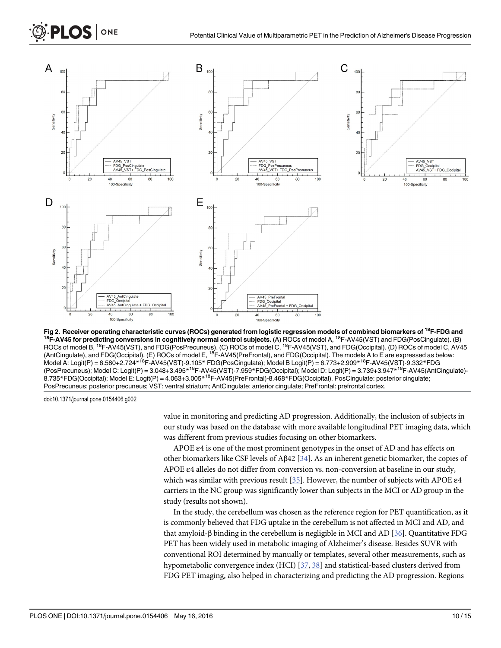<span id="page-9-0"></span>

[Fig 2.](#page-8-0) Receiver operating characteristic curves (ROCs) generated from logistic regression models of combined biomarkers of <sup>18</sup>F-FDG and<br><sup>18</sup>F-AV45 for predicting conversions in cognitively normal control subjects. (A) ROC ROCs of model B, <sup>18</sup>F-AV45(VST), and FDG(PosPrecuneus). (C) ROCs of model C, <sup>18</sup>F-AV45(VST), and FDG(Occipital). (D) ROCs of model C, AV45 (AntCingulate), and FDG(Occipital). (E) ROCs of model E, <sup>18</sup>F-AV45(PreFrontal), and FDG(Occipital). The models A to E are expressed as below: Model A: Logit(P) = 6.580+2.724\*<sup>18</sup>F-AV45(VST)-9.105\* FDG(PosCingulate); Model B Logit(P) = 6.773+2.909\*<sup>18</sup>F-AV45(VST)-9.332\*FDG (PosPrecuneus); Model C: Logit(P) = 3.048+3.495\*18F-AV45(VST)-7.959\*FDG(Occipital); Model D: Logit(P) = 3.739+3.947\*18F-AV45(AntCingulate)- 8.735\*FDG(Occipital); Model E: Logit(P) = 4.063+3.005\*18F-AV45(PreFrontal)-8.468\*FDG(Occipital). PosCingulate: posterior cingulate; PosPrecuneus: posterior precuneus; VST: ventral striatum; AntCingulate: anterior cingulate; PreFrontal: prefrontal cortex.

doi:10.1371/journal.pone.0154406.g002

value in monitoring and predicting AD progression. Additionally, the inclusion of subjects in our study was based on the database with more available longitudinal PET imaging data, which was different from previous studies focusing on other biomarkers.

APOE ε4 is one of the most prominent genotypes in the onset of AD and has effects on other biomarkers like CSF levels of Aβ42 [[34](#page-13-0)]. As an inherent genetic biomarker, the copies of APOE ε4 alleles do not differ from conversion vs. non-conversion at baseline in our study, which was similar with previous result [\[35\]](#page-13-0). However, the number of subjects with APOE ε4 carriers in the NC group was significantly lower than subjects in the MCI or AD group in the study (results not shown).

In the study, the cerebellum was chosen as the reference region for PET quantification, as it is commonly believed that FDG uptake in the cerebellum is not affected in MCI and AD, and that amyloid-β binding in the cerebellum is negligible in MCI and AD [[36\]](#page-13-0). Quantitative FDG PET has been widely used in metabolic imaging of Alzheimer's disease. Besides SUVR with conventional ROI determined by manually or templates, several other measurements, such as hypometabolic convergence index (HCI) [\[37](#page-13-0), [38\]](#page-13-0) and statistical-based clusters derived from FDG PET imaging, also helped in characterizing and predicting the AD progression. Regions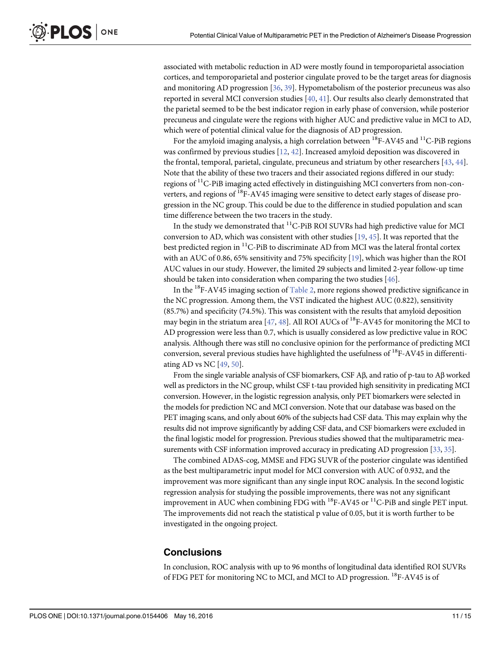<span id="page-10-0"></span>associated with metabolic reduction in AD were mostly found in temporoparietal association cortices, and temporoparietal and posterior cingulate proved to be the target areas for diagnosis and monitoring AD progression [[36](#page-13-0), [39](#page-13-0)]. Hypometabolism of the posterior precuneus was also reported in several MCI conversion studies [[40](#page-13-0), [41](#page-13-0)]. Our results also clearly demonstrated that the parietal seemed to be the best indicator region in early phase of conversion, while posterior precuneus and cingulate were the regions with higher AUC and predictive value in MCI to AD, which were of potential clinical value for the diagnosis of AD progression.

For the amyloid imaging analysis, a high correlation between  $^{18}$ F-AV45 and  $^{11}$ C-PiB regions was confirmed by previous studies  $[12, 42]$  $[12, 42]$  $[12, 42]$  $[12, 42]$  $[12, 42]$ . Increased amyloid deposition was discovered in the frontal, temporal, parietal, cingulate, precuneus and striatum by other researchers [[43](#page-14-0), [44](#page-14-0)]. Note that the ability of these two tracers and their associated regions differed in our study: regions of 11C-PiB imaging acted effectively in distinguishing MCI converters from non-converters, and regions of  $^{18}$ F-AV45 imaging were sensitive to detect early stages of disease progression in the NC group. This could be due to the difference in studied population and scan time difference between the two tracers in the study.

In the study we demonstrated that  ${}^{11}C$ -PiB ROI SUVRs had high predictive value for MCI conversion to AD, which was consistent with other studies [[19](#page-12-0), [45](#page-14-0)]. It was reported that the best predicted region in <sup>11</sup>C-PiB to discriminate AD from MCI was the lateral frontal cortex with an AUC of 0.86, 65% sensitivity and 75% specificity  $[19]$ , which was higher than the ROI AUC values in our study. However, the limited 29 subjects and limited 2-year follow-up time should be taken into consideration when comparing the two studies  $[46]$  $[46]$ .

In the <sup>18</sup>F-AV45 imaging section of  $Table 2$ , more regions showed predictive significance in the NC progression. Among them, the VST indicated the highest AUC (0.822), sensitivity (85.7%) and specificity (74.5%). This was consistent with the results that amyloid deposition may begin in the striatum area [\[47,](#page-14-0) [48\]](#page-14-0). All ROI AUCs of <sup>18</sup>F-AV45 for monitoring the MCI to AD progression were less than 0.7, which is usually considered as low predictive value in ROC analysis. Although there was still no conclusive opinion for the performance of predicting MCI conversion, several previous studies have highlighted the usefulness of  $^{18}$ F-AV45 in differentiating AD vs NC  $[49, 50]$  $[49, 50]$  $[49, 50]$  $[49, 50]$  $[49, 50]$ .

From the single variable analysis of CSF biomarkers, CSF Aβ, and ratio of p-tau to Aβ worked well as predictors in the NC group, whilst CSF t-tau provided high sensitivity in predicating MCI conversion. However, in the logistic regression analysis, only PET biomarkers were selected in the models for prediction NC and MCI conversion. Note that our database was based on the PET imaging scans, and only about 60% of the subjects had CSF data. This may explain why the results did not improve significantly by adding CSF data, and CSF biomarkers were excluded in the final logistic model for progression. Previous studies showed that the multiparametric mea-surements with CSF information improved accuracy in predicating AD progression [\[33](#page-13-0), [35](#page-13-0)].

The combined ADAS-cog, MMSE and FDG SUVR of the posterior cingulate was identified as the best multiparametric input model for MCI conversion with AUC of 0.932, and the improvement was more significant than any single input ROC analysis. In the second logistic regression analysis for studying the possible improvements, there was not any significant improvement in AUC when combining FDG with  $^{18}$ F-AV45 or  $^{11}$ C-PiB and single PET input. The improvements did not reach the statistical p value of 0.05, but it is worth further to be investigated in the ongoing project.

#### **Conclusions**

In conclusion, ROC analysis with up to 96 months of longitudinal data identified ROI SUVRs of FDG PET for monitoring NC to MCI, and MCI to AD progression. <sup>18</sup>F-AV45 is of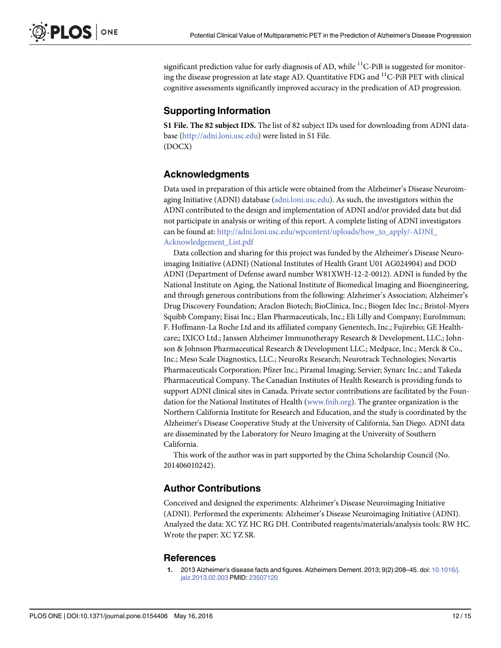<span id="page-11-0"></span>significant prediction value for early diagnosis of AD, while  ${}^{11}C$ -PiB is suggested for monitoring the disease progression at late stage AD. Quantitative FDG and <sup>11</sup>C-PiB PET with clinical cognitive assessments significantly improved accuracy in the predication of AD progression.

## Supporting Information

[S1 File.](http://www.plosone.org/article/fetchSingleRepresentation.action?uri=info:doi/10.1371/journal.pone.0154406.s001) The 82 subject IDS. The list of 82 subject IDs used for downloading from ADNI database ([http://adni.loni.usc.edu](http://adni.loni.usc.edu/)) were listed in S1 File. (DOCX)

## Acknowledgments

Data used in preparation of this article were obtained from the Alzheimer's Disease Neuroimaging Initiative (ADNI) database ([adni.loni.usc.edu\)](http://adni.loni.usc.edu). As such, the investigators within the ADNI contributed to the design and implementation of ADNI and/or provided data but did not participate in analysis or writing of this report. A complete listing of ADNI investigators can be found at: [http://adni.loni.usc.edu/wpcontent/uploads/how\\_to\\_apply/-ADNI\\_](http://adni.loni.usc.edu/wpcontent/uploads/how_to_apply/-ADNI_Acknowledgement_List.pdf) [Acknowledgement\\_List.pdf](http://adni.loni.usc.edu/wpcontent/uploads/how_to_apply/-ADNI_Acknowledgement_List.pdf)

Data collection and sharing for this project was funded by the Alzheimer's Disease Neuroimaging Initiative (ADNI) (National Institutes of Health Grant U01 AG024904) and DOD ADNI (Department of Defense award number W81XWH-12-2-0012). ADNI is funded by the National Institute on Aging, the National Institute of Biomedical Imaging and Bioengineering, and through generous contributions from the following: Alzheimer's Association; Alzheimer's Drug Discovery Foundation; Araclon Biotech; BioClinica, Inc.; Biogen Idec Inc.; Bristol-Myers Squibb Company; Eisai Inc.; Elan Pharmaceuticals, Inc.; Eli Lilly and Company; EuroImmun; F. Hoffmann-La Roche Ltd and its affiliated company Genentech, Inc.; Fujirebio; GE Healthcare;; IXICO Ltd.; Janssen Alzheimer Immunotherapy Research & Development, LLC.; Johnson & Johnson Pharmaceutical Research & Development LLC.; Medpace, Inc.; Merck & Co., Inc.; Meso Scale Diagnostics, LLC.; NeuroRx Research; Neurotrack Technologies; Novartis Pharmaceuticals Corporation; Pfizer Inc.; Piramal Imaging; Servier; Synarc Inc.; and Takeda Pharmaceutical Company. The Canadian Institutes of Health Research is providing funds to support ADNI clinical sites in Canada. Private sector contributions are facilitated by the Foundation for the National Institutes of Health [\(www.fnih.org\)](http://www.fnih.org/). The grantee organization is the Northern California Institute for Research and Education, and the study is coordinated by the Alzheimer's Disease Cooperative Study at the University of California, San Diego. ADNI data are disseminated by the Laboratory for Neuro Imaging at the University of Southern California.

This work of the author was in part supported by the China Scholarship Council (No. 201406010242).

#### Author Contributions

Conceived and designed the experiments: Alzheimer's Disease Neuroimaging Initiative (ADNI). Performed the experiments: Alzheimer's Disease Neuroimaging Initiative (ADNI). Analyzed the data: XC YZ HC RG DH. Contributed reagents/materials/analysis tools: RW HC. Wrote the paper: XC YZ SR.

#### **References**

2013 Alzheimer's disease facts and figures. Alzheimers Dement. 2013; 9(2):208-45. doi: [10.1016/j.](http://dx.doi.org/10.1016/j.jalz.2013.02.003) [jalz.2013.02.003](http://dx.doi.org/10.1016/j.jalz.2013.02.003) PMID: [23507120](http://www.ncbi.nlm.nih.gov/pubmed/23507120)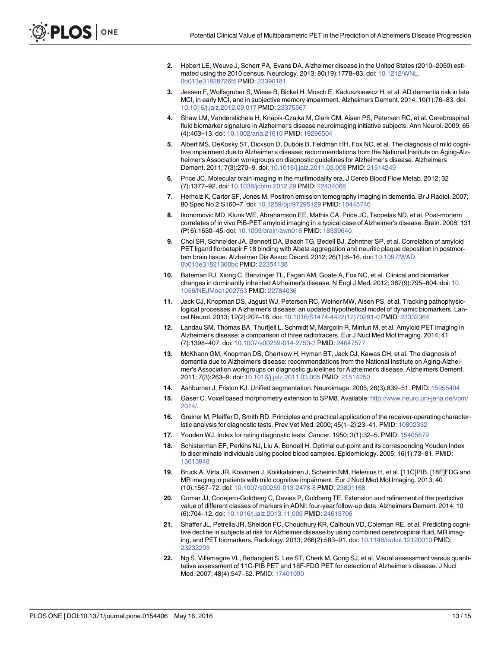- <span id="page-12-0"></span>[2.](#page-1-0) Hebert LE, Weuve J, Scherr PA, Evans DA. Alzheimer disease in the United States (2010–2050) estimated using the 2010 census. Neurology. 2013; 80(19):1778–83. doi: [10.1212/WNL.](http://dx.doi.org/10.1212/WNL.0b013e31828726f5) [0b013e31828726f5](http://dx.doi.org/10.1212/WNL.0b013e31828726f5) PMID: [23390181](http://www.ncbi.nlm.nih.gov/pubmed/23390181)
- [3.](#page-1-0) Jessen F, Wolfsgruber S, Wiese B, Bickel H, Mosch E, Kaduszkiewicz H, et al. AD dementia risk in late MCI, in early MCI, and in subjective memory impairment. Alzheimers Dement. 2014; 10(1):76–83. doi: [10.1016/j.jalz.2012.09.017](http://dx.doi.org/10.1016/j.jalz.2012.09.017) PMID: [23375567](http://www.ncbi.nlm.nih.gov/pubmed/23375567)
- [4.](#page-1-0) Shaw LM, Vanderstichele H, Knapik-Czajka M, Clark CM, Aisen PS, Petersen RC, et al. Cerebrospinal fluid biomarker signature in Alzheimer's disease neuroimaging initiative subjects. Ann Neurol. 2009; 65 (4):403–13. doi: [10.1002/ana.21610](http://dx.doi.org/10.1002/ana.21610) PMID: [19296504](http://www.ncbi.nlm.nih.gov/pubmed/19296504)
- [5.](#page-1-0) Albert MS, DeKosky ST, Dickson D, Dubois B, Feldman HH, Fox NC, et al. The diagnosis of mild cognitive impairment due to Alzheimer's disease: recommendations from the National Institute on Aging-Alzheimer's Association workgroups on diagnostic guidelines for Alzheimer's disease. Alzheimers Dement. 2011; 7(3):270–9. doi: [10.1016/j.jalz.2011.03.008](http://dx.doi.org/10.1016/j.jalz.2011.03.008) PMID: [21514249](http://www.ncbi.nlm.nih.gov/pubmed/21514249)
- [6.](#page-1-0) Price JC. Molecular brain imaging in the multimodality era. J Cereb Blood Flow Metab. 2012; 32 (7):1377–92. doi: [10.1038/jcbfm.2012.29](http://dx.doi.org/10.1038/jcbfm.2012.29) PMID: [22434068](http://www.ncbi.nlm.nih.gov/pubmed/22434068)
- [7.](#page-1-0) Herholz K, Carter SF, Jones M. Positron emission tomography imaging in dementia. Br J Radiol. 2007; 80 Spec No 2:S160–7. doi: [10.1259/bjr/97295129](http://dx.doi.org/10.1259/bjr/97295129) PMID: [18445746](http://www.ncbi.nlm.nih.gov/pubmed/18445746)
- [8.](#page-1-0) Ikonomovic MD, Klunk WE, Abrahamson EE, Mathis CA, Price JC, Tsopelas ND, et al. Post-mortem correlates of in vivo PiB-PET amyloid imaging in a typical case of Alzheimer's disease. Brain. 2008; 131 (Pt 6):1630–45. doi: [10.1093/brain/awn016](http://dx.doi.org/10.1093/brain/awn016) PMID: [18339640](http://www.ncbi.nlm.nih.gov/pubmed/18339640)
- [9.](#page-1-0) Choi SR, Schneider JA, Bennett DA, Beach TG, Bedell BJ, Zehntner SP, et al. Correlation of amyloid PET ligand florbetapir F 18 binding with Abeta aggregation and neuritic plaque deposition in postmortem brain tissue. Alzheimer Dis Assoc Disord. 2012; 26(1):8–16. doi: [10.1097/WAD.](http://dx.doi.org/10.1097/WAD.0b013e31821300bc) [0b013e31821300bc](http://dx.doi.org/10.1097/WAD.0b013e31821300bc) PMID: [22354138](http://www.ncbi.nlm.nih.gov/pubmed/22354138)
- [10.](#page-1-0) Bateman RJ, Xiong C, Benzinger TL, Fagan AM, Goate A, Fox NC, et al. Clinical and biomarker changes in dominantly inherited Alzheimer's disease. N Engl J Med. 2012; 367(9):795–804. doi: [10.](http://dx.doi.org/10.1056/NEJMoa1202753) [1056/NEJMoa1202753](http://dx.doi.org/10.1056/NEJMoa1202753) PMID: [22784036](http://www.ncbi.nlm.nih.gov/pubmed/22784036)
- [11.](#page-1-0) Jack CJ, Knopman DS, Jagust WJ, Petersen RC, Weiner MW, Aisen PS, et al. Tracking pathophysiological processes in Alzheimer's disease: an updated hypothetical model of dynamic biomarkers. Lancet Neurol. 2013; 12(2):207–16. doi: [10.1016/S1474-4422\(12\)70291-0](http://dx.doi.org/10.1016/S1474-4422(12)70291-0) PMID: [23332364](http://www.ncbi.nlm.nih.gov/pubmed/23332364)
- [12.](#page-1-0) Landau SM, Thomas BA, Thurfjell L, Schmidt M, Margolin R, Mintun M, et al. Amyloid PET imaging in Alzheimer's disease: a comparison of three radiotracers. Eur J Nucl Med Mol Imaging. 2014; 41 (7):1398–407. doi: [10.1007/s00259-014-2753-3](http://dx.doi.org/10.1007/s00259-014-2753-3) PMID: [24647577](http://www.ncbi.nlm.nih.gov/pubmed/24647577)
- [13.](#page-2-0) McKhann GM, Knopman DS, Chertkow H, Hyman BT, Jack CJ, Kawas CH, et al. The diagnosis of dementia due to Alzheimer's disease: recommendations from the National Institute on Aging-Alzheimer's Association workgroups on diagnostic guidelines for Alzheimer's disease. Alzheimers Dement. 2011; 7(3):263–9. doi: [10.1016/j.jalz.2011.03.005](http://dx.doi.org/10.1016/j.jalz.2011.03.005) PMID: [21514250](http://www.ncbi.nlm.nih.gov/pubmed/21514250)
- [14.](#page-3-0) Ashburner J, Friston KJ. Unified segmentation. Neuroimage. 2005; 26(3):839–51. PMID: [15955494](http://www.ncbi.nlm.nih.gov/pubmed/15955494)
- [15.](#page-3-0) Gaser C. Voxel based morphometry extension to SPM8. Available: [http://www.neuro.uni-jena.de/vbm/](http://www.neuro.uni-jena.de/vbm/2014/) [2014/.](http://www.neuro.uni-jena.de/vbm/2014/)
- [16.](#page-3-0) Greiner M, Pfeiffer D, Smith RD. Principles and practical application of the receiver-operating characteristic analysis for diagnostic tests. Prev Vet Med. 2000; 45(1–2):23–41. PMID: [10802332](http://www.ncbi.nlm.nih.gov/pubmed/10802332)
- 17. Youden WJ. Index for rating diagnostic tests. Cancer. 1950; 3(1):32-5. PMID: [15405679](http://www.ncbi.nlm.nih.gov/pubmed/15405679)
- [18.](#page-3-0) Schisterman EF, Perkins NJ, Liu A, Bondell H. Optimal cut-point and its corresponding Youden Index to discriminate individuals using pooled blood samples. Epidemiology. 2005; 16(1):73–81. PMID: [15613948](http://www.ncbi.nlm.nih.gov/pubmed/15613948)
- [19.](#page-3-0) Bruck A, Virta JR, Koivunen J, Koikkalainen J, Scheinin NM, Helenius H, et al. [11C]PIB, [18F]FDG and MR imaging in patients with mild cognitive impairment. Eur J Nucl Med Mol Imaging. 2013; 40 (10):1567–72. doi: [10.1007/s00259-013-2478-8](http://dx.doi.org/10.1007/s00259-013-2478-8) PMID: [23801168](http://www.ncbi.nlm.nih.gov/pubmed/23801168)
- [20.](#page-8-0) Gomar JJ, Conejero-Goldberg C, Davies P, Goldberg TE. Extension and refinement of the predictive value of different classes of markers in ADNI: four-year follow-up data. Alzheimers Dement. 2014; 10 (6):704–12. doi: [10.1016/j.jalz.2013.11.009](http://dx.doi.org/10.1016/j.jalz.2013.11.009) PMID: [24613706](http://www.ncbi.nlm.nih.gov/pubmed/24613706)
- 21. Shaffer JL, Petrella JR, Sheldon FC, Choudhury KR, Calhoun VD, Coleman RE, et al. Predicting cognitive decline in subjects at risk for Alzheimer disease by using combined cerebrospinal fluid, MR imaging, and PET biomarkers. Radiology. 2013; 266(2):583–91. doi: [10.1148/radiol.12120010](http://dx.doi.org/10.1148/radiol.12120010) PMID: [23232293](http://www.ncbi.nlm.nih.gov/pubmed/23232293)
- 22. Ng S, Villemagne VL, Berlangieri S, Lee ST, Cherk M, Gong SJ, et al. Visual assessment versus quantitative assessment of 11C-PIB PET and 18F-FDG PET for detection of Alzheimer's disease. J Nucl Med. 2007; 48(4):547–52. PMID: [17401090](http://www.ncbi.nlm.nih.gov/pubmed/17401090)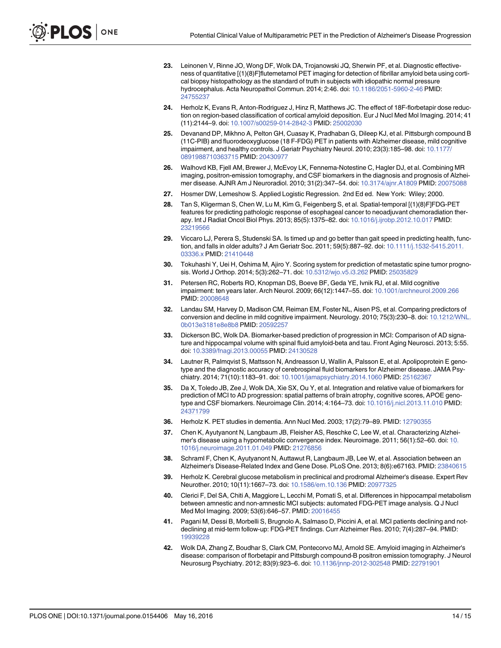- <span id="page-13-0"></span>23. Leinonen V, Rinne JO, Wong DF, Wolk DA, Trojanowski JQ, Sherwin PF, et al. Diagnostic effectiveness of quantitative [(1)(8)F]flutemetamol PET imaging for detection of fibrillar amyloid beta using cortical biopsy histopathology as the standard of truth in subjects with idiopathic normal pressure hydrocephalus. Acta Neuropathol Commun. 2014; 2:46. doi: [10.1186/2051-5960-2-46](http://dx.doi.org/10.1186/2051-5960-2-46) PMID: [24755237](http://www.ncbi.nlm.nih.gov/pubmed/24755237)
- 24. Herholz K, Evans R, Anton-Rodriguez J, Hinz R, Matthews JC. The effect of 18F-florbetapir dose reduction on region-based classification of cortical amyloid deposition. Eur J Nucl Med Mol Imaging. 2014; 41 (11):2144–9. doi: [10.1007/s00259-014-2842-3](http://dx.doi.org/10.1007/s00259-014-2842-3) PMID: [25002030](http://www.ncbi.nlm.nih.gov/pubmed/25002030)
- 25. Devanand DP, Mikhno A, Pelton GH, Cuasay K, Pradhaban G, Dileep KJ, et al. Pittsburgh compound B (11C-PIB) and fluorodeoxyglucose (18 F-FDG) PET in patients with Alzheimer disease, mild cognitive impairment, and healthy controls. J Geriatr Psychiatry Neurol. 2010; 23(3):185–98. doi: [10.1177/](http://dx.doi.org/10.1177/0891988710363715) [0891988710363715](http://dx.doi.org/10.1177/0891988710363715) PMID: [20430977](http://www.ncbi.nlm.nih.gov/pubmed/20430977)
- [26.](#page-3-0) Walhovd KB, Fjell AM, Brewer J, McEvoy LK, Fennema-Notestine C, Hagler DJ, et al. Combining MR imaging, positron-emission tomography, and CSF biomarkers in the diagnosis and prognosis of Alzheimer disease. AJNR Am J Neuroradiol. 2010; 31(2):347–54. doi: [10.3174/ajnr.A1809](http://dx.doi.org/10.3174/ajnr.A1809) PMID: [20075088](http://www.ncbi.nlm.nih.gov/pubmed/20075088)
- [27.](#page-4-0) Hosmer DW, Lemeshow S. Applied Logistic Regression. 2nd Ed ed. New York: Wiley; 2000.
- 28. Tan S, Kligerman S, Chen W, Lu M, Kim G, Feigenberg S, et al. Spatial-temporal [(1)(8)F]FDG-PET features for predicting pathologic response of esophageal cancer to neoadjuvant chemoradiation therapy. Int J Radiat Oncol Biol Phys. 2013; 85(5):1375–82. doi: [10.1016/j.ijrobp.2012.10.017](http://dx.doi.org/10.1016/j.ijrobp.2012.10.017) PMID: [23219566](http://www.ncbi.nlm.nih.gov/pubmed/23219566)
- 29. Viccaro LJ, Perera S, Studenski SA. Is timed up and go better than gait speed in predicting health, function, and falls in older adults? J Am Geriatr Soc. 2011; 59(5):887–92. doi: [10.1111/j.1532-5415.2011.](http://dx.doi.org/10.1111/j.1532-5415.2011.03336.x) [03336.x](http://dx.doi.org/10.1111/j.1532-5415.2011.03336.x) PMID: [21410448](http://www.ncbi.nlm.nih.gov/pubmed/21410448)
- [30.](#page-4-0) Tokuhashi Y, Uei H, Oshima M, Ajiro Y. Scoring system for prediction of metastatic spine tumor prognosis. World J Orthop. 2014; 5(3):262–71. doi: [10.5312/wjo.v5.i3.262](http://dx.doi.org/10.5312/wjo.v5.i3.262) PMID: [25035829](http://www.ncbi.nlm.nih.gov/pubmed/25035829)
- [31.](#page-8-0) Petersen RC, Roberts RO, Knopman DS, Boeve BF, Geda YE, Ivnik RJ, et al. Mild cognitive impairment: ten years later. Arch Neurol. 2009; 66(12):1447–55. doi: [10.1001/archneurol.2009.266](http://dx.doi.org/10.1001/archneurol.2009.266) PMID: [20008648](http://www.ncbi.nlm.nih.gov/pubmed/20008648)
- [32.](#page-8-0) Landau SM, Harvey D, Madison CM, Reiman EM, Foster NL, Aisen PS, et al. Comparing predictors of conversion and decline in mild cognitive impairment. Neurology. 2010; 75(3):230–8. doi: [10.1212/WNL.](http://dx.doi.org/10.1212/WNL.0b013e3181e8e8b8) [0b013e3181e8e8b8](http://dx.doi.org/10.1212/WNL.0b013e3181e8e8b8) PMID: [20592257](http://www.ncbi.nlm.nih.gov/pubmed/20592257)
- [33.](#page-8-0) Dickerson BC, Wolk DA. Biomarker-based prediction of progression in MCI: Comparison of AD signature and hippocampal volume with spinal fluid amyloid-beta and tau. Front Aging Neurosci. 2013; 5:55. doi: [10.3389/fnagi.2013.00055](http://dx.doi.org/10.3389/fnagi.2013.00055) PMID: [24130528](http://www.ncbi.nlm.nih.gov/pubmed/24130528)
- [34.](#page-9-0) Lautner R, Palmqvist S, Mattsson N, Andreasson U, Wallin A, Palsson E, et al. Apolipoprotein E genotype and the diagnostic accuracy of cerebrospinal fluid biomarkers for Alzheimer disease. JAMA Psychiatry. 2014; 71(10):1183–91. doi: [10.1001/jamapsychiatry.2014.1060](http://dx.doi.org/10.1001/jamapsychiatry.2014.1060) PMID: [25162367](http://www.ncbi.nlm.nih.gov/pubmed/25162367)
- [35.](#page-9-0) Da X, Toledo JB, Zee J, Wolk DA, Xie SX, Ou Y, et al. Integration and relative value of biomarkers for prediction of MCI to AD progression: spatial patterns of brain atrophy, cognitive scores, APOE genotype and CSF biomarkers. Neuroimage Clin. 2014; 4:164–73. doi: [10.1016/j.nicl.2013.11.010](http://dx.doi.org/10.1016/j.nicl.2013.11.010) PMID: [24371799](http://www.ncbi.nlm.nih.gov/pubmed/24371799)
- [36.](#page-9-0) Herholz K. PET studies in dementia. Ann Nucl Med. 2003; 17(2):79–89. PMID: [12790355](http://www.ncbi.nlm.nih.gov/pubmed/12790355)
- [37.](#page-9-0) Chen K, Ayutyanont N, Langbaum JB, Fleisher AS, Reschke C, Lee W, et al. Characterizing Alzheimer's disease using a hypometabolic convergence index. Neuroimage. 2011; 56(1):52–60. doi: [10.](http://dx.doi.org/10.1016/j.neuroimage.2011.01.049) [1016/j.neuroimage.2011.01.049](http://dx.doi.org/10.1016/j.neuroimage.2011.01.049) PMID: [21276856](http://www.ncbi.nlm.nih.gov/pubmed/21276856)
- [38.](#page-9-0) Schraml F, Chen K, Ayutyanont N, Auttawut R, Langbaum JB, Lee W, et al. Association between an Alzheimer's Disease-Related Index and Gene Dose. PLoS One. 2013; 8(6):e67163. PMID: [23840615](http://www.ncbi.nlm.nih.gov/pubmed/23840615)
- [39.](#page-10-0) Herholz K. Cerebral glucose metabolism in preclinical and prodromal Alzheimer's disease. Expert Rev Neurother. 2010; 10(11):1667–73. doi: [10.1586/ern.10.136](http://dx.doi.org/10.1586/ern.10.136) PMID: [20977325](http://www.ncbi.nlm.nih.gov/pubmed/20977325)
- [40.](#page-10-0) Clerici F, Del SA, Chiti A, Maggiore L, Lecchi M, Pomati S, et al. Differences in hippocampal metabolism between amnestic and non-amnestic MCI subjects: automated FDG-PET image analysis. Q J Nucl Med Mol Imaging. 2009; 53(6):646–57. PMID: [20016455](http://www.ncbi.nlm.nih.gov/pubmed/20016455)
- [41.](#page-10-0) Pagani M, Dessi B, Morbelli S, Brugnolo A, Salmaso D, Piccini A, et al. MCI patients declining and notdeclining at mid-term follow-up: FDG-PET findings. Curr Alzheimer Res. 2010; 7(4):287–94. PMID: [19939228](http://www.ncbi.nlm.nih.gov/pubmed/19939228)
- [42.](#page-10-0) Wolk DA, Zhang Z, Boudhar S, Clark CM, Pontecorvo MJ, Arnold SE. Amyloid imaging in Alzheimer's disease: comparison of florbetapir and Pittsburgh compound-B positron emission tomography. J Neurol Neurosurg Psychiatry. 2012; 83(9):923–6. doi: [10.1136/jnnp-2012-302548](http://dx.doi.org/10.1136/jnnp-2012-302548) PMID: [22791901](http://www.ncbi.nlm.nih.gov/pubmed/22791901)